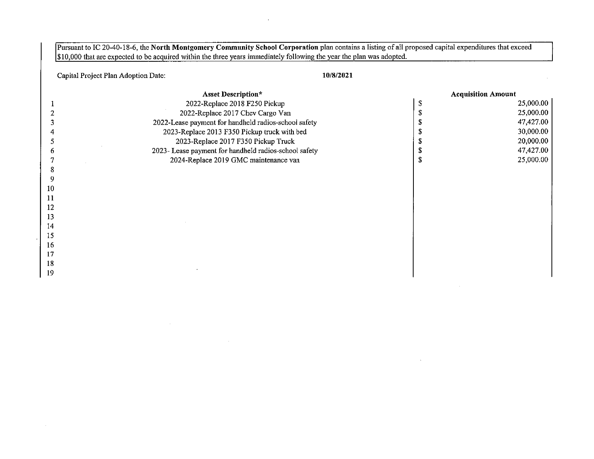Pursuant to IC 20-40-18-6, the North Montgomery Community School Corporation plan contains a listing of all proposed capital expenditures that exceed \$10,000 that are expected to be acquired within the three years immediately following the year the plan was adopted.

Capital Project Plan Adoption Date: 10/8/2021

 $\sim$ 

 $\sim$ 

|    | <b>Asset Description*</b>                             | <b>Acquisition Amount</b> |           |
|----|-------------------------------------------------------|---------------------------|-----------|
|    | 2022-Replace 2018 F250 Pickup                         |                           | 25,000.00 |
|    | 2022-Replace 2017 Chev Cargo Van                      |                           | 25,000.00 |
|    | 2022-Lease payment for handheld radios-school safety  |                           | 47,427.00 |
|    | 2023-Replace 2013 F350 Pickup truck with bed          |                           | 30,000.00 |
|    | 2023-Replace 2017 F350 Pickup Truck                   |                           | 20,000.00 |
|    | 2023- Lease payment for handheld radios-school safety |                           | 47,427.00 |
|    | 2024-Replace 2019 GMC maintenance van                 |                           | 25,000.00 |
|    |                                                       |                           |           |
|    |                                                       |                           |           |
| 10 |                                                       |                           |           |
| 11 |                                                       |                           |           |
| 12 |                                                       |                           |           |
| 13 |                                                       |                           |           |
| 14 |                                                       |                           |           |
| 15 |                                                       |                           |           |
| 16 |                                                       |                           |           |
| 17 |                                                       |                           |           |
| 18 |                                                       |                           |           |
| 19 |                                                       |                           |           |